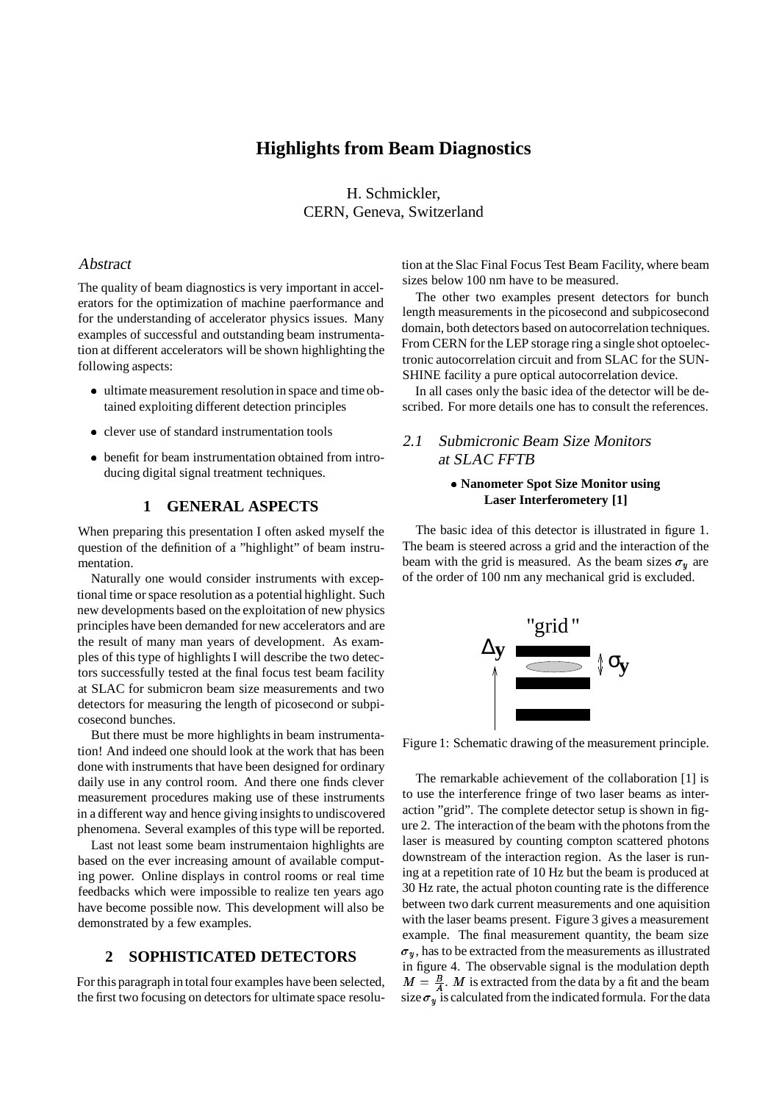# **Highlights from Beam Diagnostics**

H. Schmickler, CERN, Geneva, Switzerland

## Abstract

The quality of beam diagnostics is very important in accelerators for the optimization of machine paerformance and for the understanding of accelerator physics issues. Many examples of successful and outstanding beam instrumentation at different accelerators will be shown highlighting the following aspects:

- ultimate measurement resolution in space and time obtained exploiting different detection principles
- clever use of standard instrumentation tools
- benefit for beam instrumentation obtained from introducing digital signal treatment techniques.

# **1 GENERAL ASPECTS**

When preparing this presentation I often asked myself the question of the definition of a "highlight" of beam instrumentation.

Naturally one would consider instruments with exceptional time or space resolution as a potential highlight. Such new developments based on the exploitation of new physics principles have been demanded for new accelerators and are the result of many man years of development. As examples of this type of highlights I will describe the two detectors successfully tested at the final focus test beam facility at SLAC for submicron beam size measurements and two detectors for measuring the length of picosecond or subpicosecond bunches.

But there must be more highlights in beam instrumentation! And indeed one should look at the work that has been done with instruments that have been designed for ordinary daily use in any control room. And there one finds clever measurement procedures making use of these instruments in a different way and hence giving insights to undiscovered phenomena. Several examples of this type will be reported.

Last not least some beam instrumentaion highlights are based on the ever increasing amount of available computing power. Online displays in control rooms or real time feedbacks which were impossible to realize ten years ago have become possible now. This development will also be demonstrated by a few examples.

# **2 SOPHISTICATED DETECTORS**

For this paragraph in total four examples have been selected, the first two focusing on detectors for ultimate space resolution at the Slac Final Focus Test Beam Facility, where beam sizes below 100 nm have to be measured.

The other two examples present detectors for bunch length measurements in the picosecond and subpicosecond domain, both detectors based on autocorrelation techniques. From CERN for the LEP storage ring a single shot optoelectronic autocorrelation circuit and from SLAC for the SUN-SHINE facility a pure optical autocorrelation device.

In all cases only the basic idea of the detector will be described. For more details one has to consult the references.

# 2.1 Submicronic Beam Size Monitors at SLAC FFTB

#### **Nanometer Spot Size Monitor using Laser Interferometery [1]**

The basic idea of this detector is illustrated in figure 1. The beam is steered across a grid and the interaction of the beam with the grid is measured. As the beam sizes  $\sigma_y$  are of the order of 100 nm any mechanical grid is excluded.



Figure 1: Schematic drawing of the measurement principle.

The remarkable achievement of the collaboration [1] is to use the interference fringe of two laser beams as interaction "grid". The complete detector setup is shown in figure 2. The interaction of the beam with the photons from the laser is measured by counting compton scattered photons downstream of the interaction region. As the laser is runing at a repetition rate of 10 Hz but the beam is produced at 30 Hz rate, the actual photon counting rate is the difference between two dark current measurements and one aquisition with the laser beams present. Figure 3 gives a measurement example. The final measurement quantity, the beam size  $\sigma_u$ , has to be extracted from the measurements as illustrated in figure 4. The observable signal is the modulation depth  $M = \frac{B}{A}$ . M is extracted from the data by a fit and the beam size  $\sigma_y$  is calculated from the indicated formula. For the data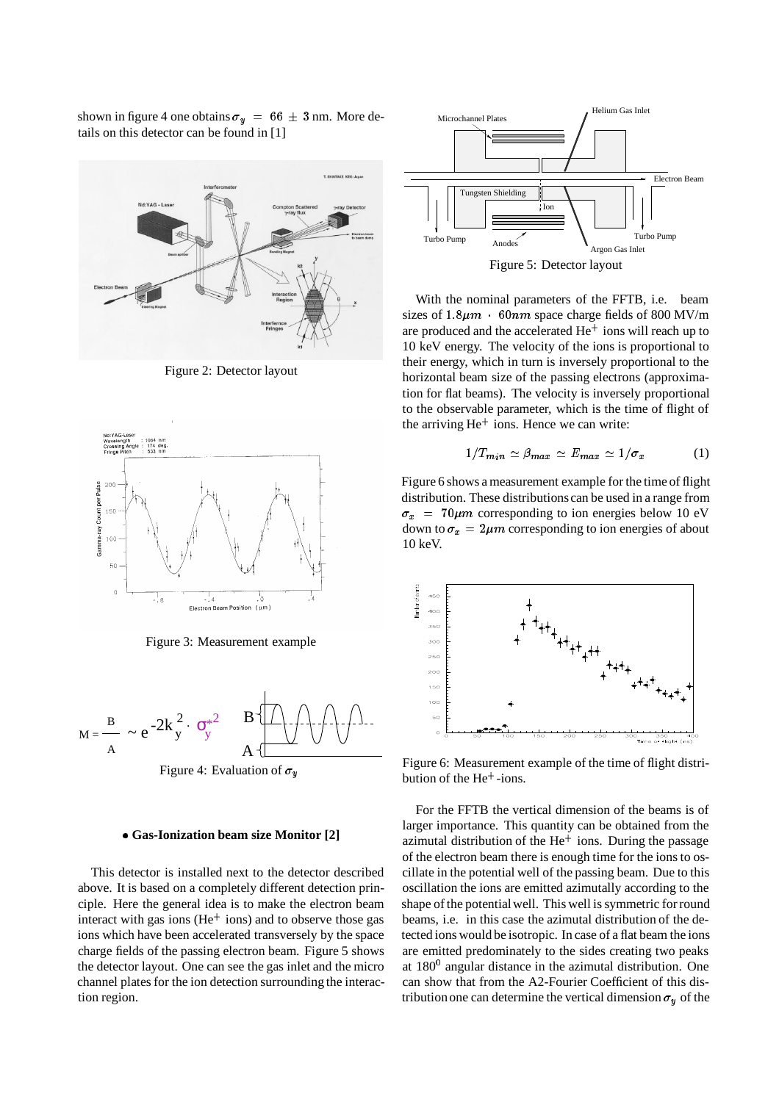shown in figure 4 one obtains  $\sigma_y = 66 \pm 3$  nm. More details on this detector can be found in [1]



Figure 2: Detector layout



Figure 3: Measurement example



Figure 4: Evaluation of  $\sigma_u$ 

#### **Gas-Ionization beam size Monitor [2]**

This detector is installed next to the detector described above. It is based on a completely different detection principle. Here the general idea is to make the electron beam interact with gas ions ( $He<sup>+</sup>$  ions) and to observe those gas ions which have been accelerated transversely by the space charge fields of the passing electron beam. Figure 5 shows the detector layout. One can see the gas inlet and the micro channel plates for the ion detection surrounding the interaction region.



With the nominal parameters of the FFTB, i.e. beam sizes of  $1.8 \mu m \cdot 60 \, nm$  space charge fields of 800 MV/m are produced and the accelerated  $He^+$  ions will reach up to 10 keV energy. The velocity of the ions is proportional to their energy, which in turn is inversely proportional to the horizontal beam size of the passing electrons (approxima-

tion for flat beams). The velocity is inversely proportional to the observable parameter, which is the time of flight of

the arriving He<sup>+</sup> ions. Hence we can write:

$$
1/T_{min} \simeq \beta_{max} \simeq E_{max} \simeq 1/\sigma_x \tag{1}
$$

Figure 6 shows a measurement example for the time of flight distribution. These distributionscan be used in a range from  $\sigma_x$  = 70 $\mu$ m corresponding to ion energies below 10 eV down to  $\sigma_x = 2\mu m$  corresponding to ion energies of about 10 keV.



Figure 6: Measurement example of the time of flight distribution of the He<sup>+</sup> -ions.

For the FFTB the vertical dimension of the beams is of larger importance. This quantity can be obtained from the azimutal distribution of the He<sup>+</sup> ions. During the passage of the electron beam there is enough time for the ions to oscillate in the potential well of the passing beam. Due to this oscillation the ions are emitted azimutally according to the shape of the potential well. This well is symmetric for round beams, i.e. in this case the azimutal distribution of the detected ions would be isotropic. In case of a flat beam the ions are emitted predominately to the sides creating two peaks at 180<sup>0</sup> angular distance in the azimutal distribution. One can show that from the A2-Fourier Coefficient of this distribution one can determine the vertical dimension  $\sigma_u$  of the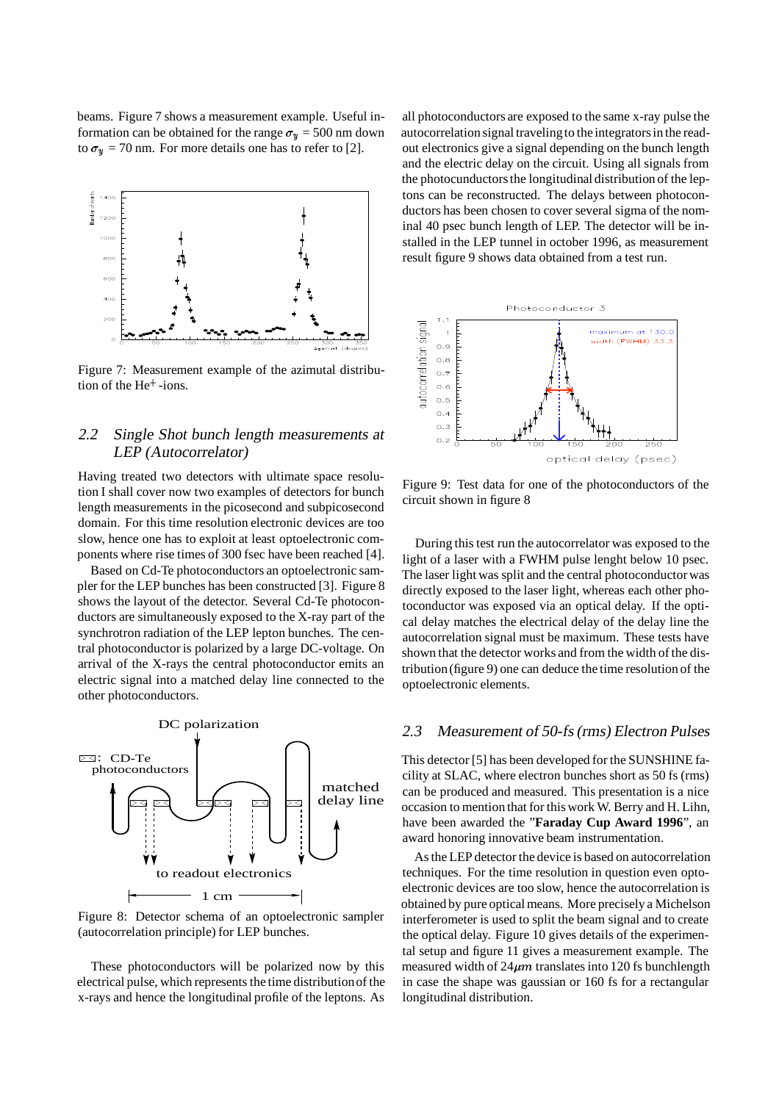beams. Figure 7 shows a measurement example. Useful information can be obtained for the range  $\sigma_y = 500$  nm down to  $\sigma_y$  = 70 nm. For more details one has to refer to [2].



Figure 7: Measurement example of the azimutal distribution of the He<sup>+</sup> -ions.

# 2.2 Single Shot bunch length measurements at LEP (Autocorrelator)

Having treated two detectors with ultimate space resolution I shall cover now two examples of detectors for bunch length measurements in the picosecond and subpicosecond domain. For this time resolution electronic devices are too slow, hence one has to exploit at least optoelectronic components where rise times of 300 fsec have been reached [4].

Based on Cd-Te photoconductors an optoelectronic sampler for the LEP bunches has been constructed [3]. Figure 8 shows the layout of the detector. Several Cd-Te photoconductors are simultaneously exposed to the X-ray part of the synchrotron radiation of the LEP lepton bunches. The central photoconductor is polarized by a large DC-voltage. On arrival of the X-rays the central photoconductor emits an electric signal into a matched delay line connected to the other photoconductors.



Figure 8: Detector schema of an optoelectronic sampler (autocorrelation principle) for LEP bunches.

These photoconductors will be polarized now by this electrical pulse, which represents the time distributionof the x-rays and hence the longitudinal profile of the leptons. As

all photoconductors are exposed to the same x-ray pulse the autocorrelation signal traveling to the integrators in the readout electronics give a signal depending on the bunch length and the electric delay on the circuit. Using all signals from the photocunductors the longitudinal distribution of the leptons can be reconstructed. The delays between photoconductors has been chosen to cover several sigma of the nominal 40 psec bunch length of LEP. The detector will be installed in the LEP tunnel in october 1996, as measurement result figure 9 shows data obtained from a test run.



Figure 9: Test data for one of the photoconductors of the circuit shown in figure 8

During this test run the autocorrelator was exposed to the light of a laser with a FWHM pulse lenght below 10 psec. The laser light was split and the central photoconductor was directly exposed to the laser light, whereas each other photoconductor was exposed via an optical delay. If the optical delay matches the electrical delay of the delay line the autocorrelation signal must be maximum. These tests have shown that the detector works and from the width of the distribution(figure 9) one can deduce the time resolution of the optoelectronic elements.

#### 2.3 Measurement of 50-fs (rms) Electron Pulses

This detector [5] has been developed for the SUNSHINE facility at SLAC, where electron bunches short as 50 fs (rms) can be produced and measured. This presentation is a nice occasion to mention that for this work W. Berry and H. Lihn, have been awarded the "**Faraday Cup Award 1996**", an award honoring innovative beam instrumentation.

As the LEP detector the device is based on autocorrelation techniques. For the time resolution in question even optoelectronic devices are too slow, hence the autocorrelation is obtained by pure optical means. More precisely a Michelson interferometer is used to split the beam signal and to create the optical delay. Figure 10 gives details of the experimental setup and figure 11 gives a measurement example. The measured width of  $24\mu m$  translates into 120 fs bunchlength in case the shape was gaussian or 160 fs for a rectangular longitudinal distribution.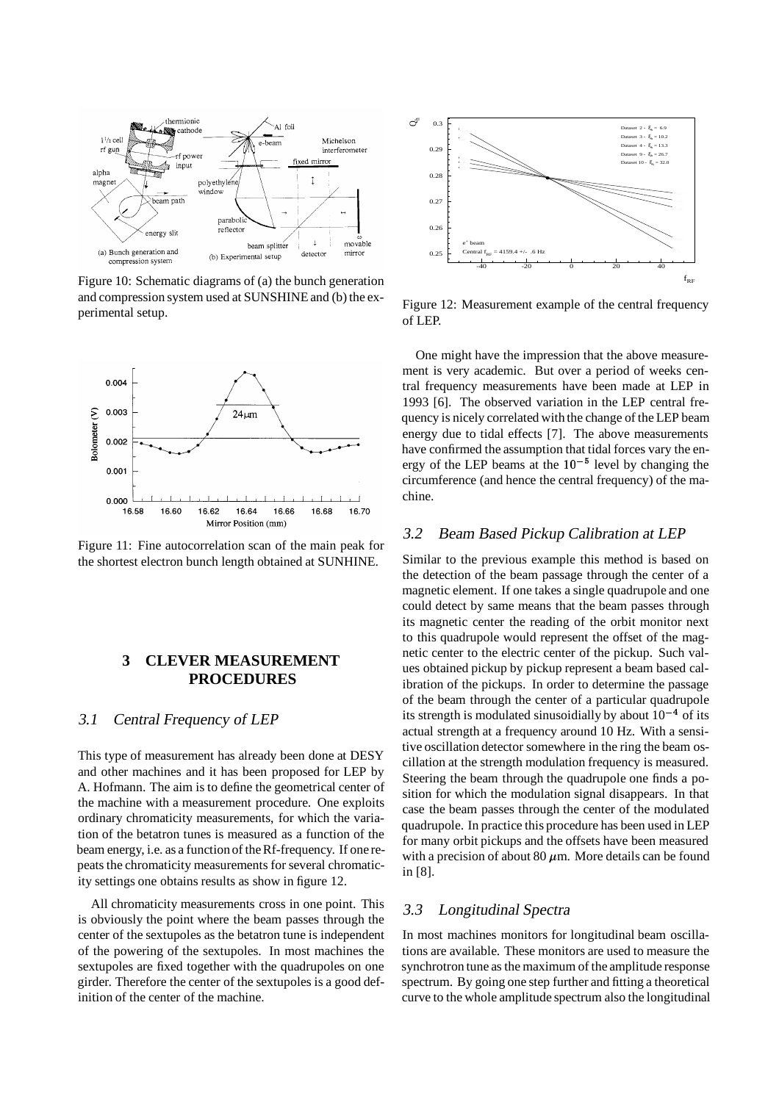

Figure 10: Schematic diagrams of (a) the bunch generation and compression system used at SUNSHINE and (b) the experimental setup.



Figure 11: Fine autocorrelation scan of the main peak for the shortest electron bunch length obtained at SUNHINE.

## **3 CLEVER MEASUREMENT PROCEDURES**

#### 3.1 Central Frequency of LEP

This type of measurement has already been done at DESY and other machines and it has been proposed for LEP by A. Hofmann. The aim is to define the geometrical center of the machine with a measurement procedure. One exploits ordinary chromaticity measurements, for which the variation of the betatron tunes is measured as a function of the beam energy, i.e. as a functionof the Rf-frequency. If one repeats the chromaticity measurements for several chromaticity settings one obtains results as show in figure 12.

All chromaticity measurements cross in one point. This is obviously the point where the beam passes through the center of the sextupoles as the betatron tune is independent of the powering of the sextupoles. In most machines the sextupoles are fixed together with the quadrupoles on one girder. Therefore the center of the sextupoles is a good definition of the center of the machine.



Figure 12: Measurement example of the central frequency of LEP.

One might have the impression that the above measurement is very academic. But over a period of weeks central frequency measurements have been made at LEP in 1993 [6]. The observed variation in the LEP central frequency is nicely correlated with the change of the LEP beam energy due to tidal effects [7]. The above measurements have confirmed the assumption that tidal forces vary the energy of the LEP beams at the  $10^{-5}$  level by changing the circumference (and hence the central frequency) of the machine.

#### 3.2 Beam Based Pickup Calibration at LEP

Similar to the previous example this method is based on the detection of the beam passage through the center of a magnetic element. If one takes a single quadrupole and one could detect by same means that the beam passes through its magnetic center the reading of the orbit monitor next to this quadrupole would represent the offset of the magnetic center to the electric center of the pickup. Such values obtained pickup by pickup represent a beam based calibration of the pickups. In order to determine the passage of the beam through the center of a particular quadrupole its strength is modulated sinusoidially by about  $10^{-4}$  of its actual strength at a frequency around 10 Hz. With a sensitive oscillation detector somewhere in the ring the beam oscillation at the strength modulation frequency is measured. Steering the beam through the quadrupole one finds a position for which the modulation signal disappears. In that case the beam passes through the center of the modulated quadrupole. In practice this procedure has been used in LEP for many orbit pickups and the offsets have been measured with a precision of about 80  $\mu$ m. More details can be found in [8].

## 3.3 Longitudinal Spectra

In most machines monitors for longitudinal beam oscillations are available. These monitors are used to measure the synchrotron tune as the maximum of the amplitude response spectrum. By going one step further and fitting a theoretical curve to the whole amplitude spectrum also the longitudinal